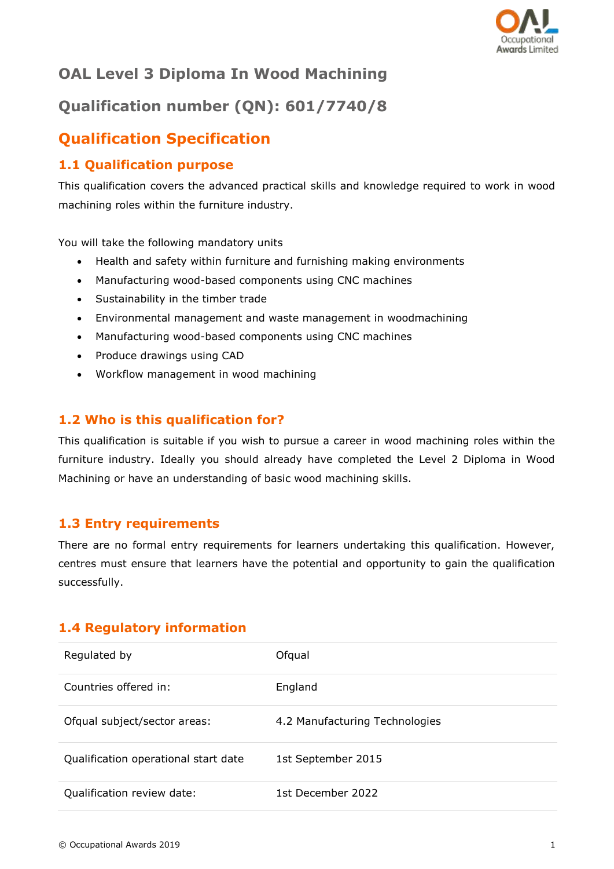

# **OAL Level 3 Diploma In Wood Machining**

# **Qualification number (QN): 601/7740/8**

## **Qualification Specification**

## **1.1 Qualification purpose**

This qualification covers the advanced practical skills and knowledge required to work in wood machining roles within the furniture industry.

You will take the following mandatory units

- Health and safety within furniture and furnishing making environments
- Manufacturing wood-based components using CNC machines
- Sustainability in the timber trade
- Environmental management and waste management in woodmachining
- Manufacturing wood-based components using CNC machines
- Produce drawings using CAD
- Workflow management in wood machining

## **1.2 Who is this qualification for?**

This qualification is suitable if you wish to pursue a career in wood machining roles within the furniture industry. Ideally you should already have completed the Level 2 Diploma in Wood Machining or have an understanding of basic wood machining skills.

#### **1.3 Entry requirements**

There are no formal entry requirements for learners undertaking this qualification. However, centres must ensure that learners have the potential and opportunity to gain the qualification successfully.

### **1.4 Regulatory information**

| Regulated by                         | Ofqual                         |
|--------------------------------------|--------------------------------|
| Countries offered in:                | England                        |
| Ofqual subject/sector areas:         | 4.2 Manufacturing Technologies |
| Qualification operational start date | 1st September 2015             |
| Qualification review date:           | 1st December 2022              |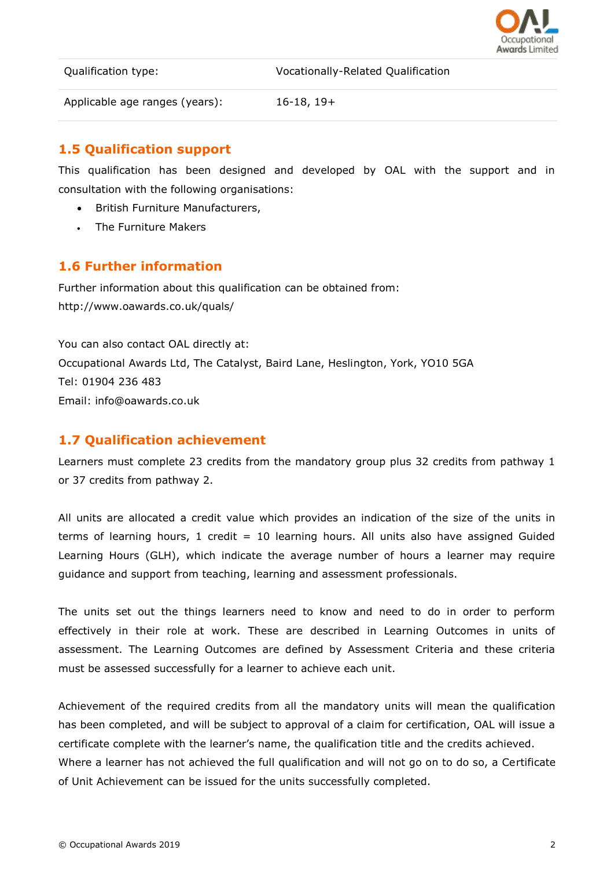

Qualification type: Vocationally-Related Qualification

Applicable age ranges (years): 16-18, 19+

### **1.5 Qualification support**

This qualification has been designed and developed by OAL with the support and in consultation with the following organisations:

- British Furniture Manufacturers,
- The Furniture Makers

#### **1.6 Further information**

Further information about this qualification can be obtained from: http://www.oawards.co.uk/quals/

You can also contact OAL directly at: Occupational Awards Ltd, The Catalyst, Baird Lane, Heslington, York, YO10 5GA Tel: 01904 236 483 Email: info@oawards.co.uk

#### **1.7 Qualification achievement**

Learners must complete 23 credits from the mandatory group plus 32 credits from pathway 1 or 37 credits from pathway 2.

All units are allocated a credit value which provides an indication of the size of the units in terms of learning hours,  $1$  credit =  $10$  learning hours. All units also have assigned Guided Learning Hours (GLH), which indicate the average number of hours a learner may require guidance and support from teaching, learning and assessment professionals.

The units set out the things learners need to know and need to do in order to perform effectively in their role at work. These are described in Learning Outcomes in units of assessment. The Learning Outcomes are defined by Assessment Criteria and these criteria must be assessed successfully for a learner to achieve each unit.

Achievement of the required credits from all the mandatory units will mean the qualification has been completed, and will be subject to approval of a claim for certification, OAL will issue a certificate complete with the learner's name, the qualification title and the credits achieved. Where a learner has not achieved the full qualification and will not go on to do so, a Certificate of Unit Achievement can be issued for the units successfully completed.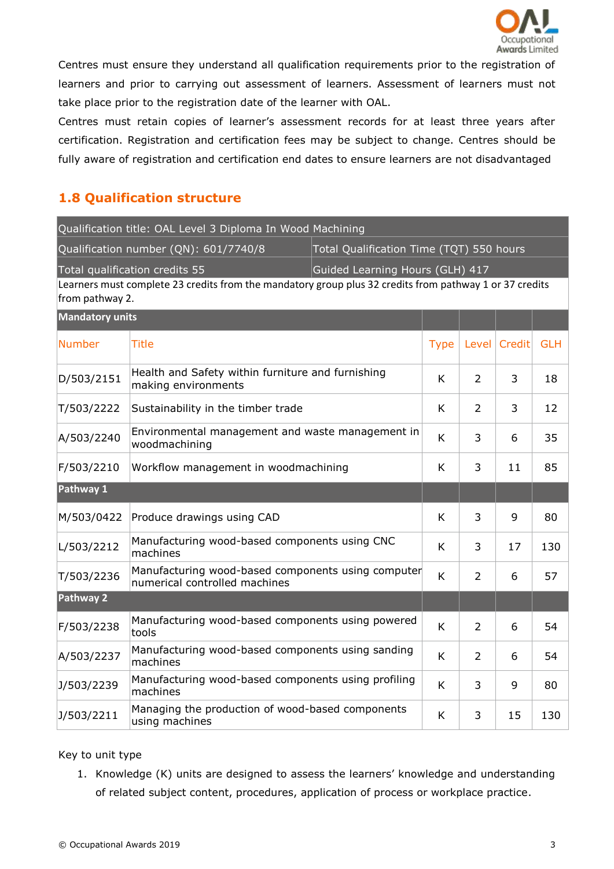

Centres must ensure they understand all qualification requirements prior to the registration of learners and prior to carrying out assessment of learners. Assessment of learners must not take place prior to the registration date of the learner with OAL.

Centres must retain copies of learner's assessment records for at least three years after certification. Registration and certification fees may be subject to change. Centres should be fully aware of registration and certification end dates to ensure learners are not disadvantaged

## **1.8 Qualification structure**

|                                                                   | Qualification title: OAL Level 3 Diploma In Wood Machining                                              |  |                                          |                |        |            |
|-------------------------------------------------------------------|---------------------------------------------------------------------------------------------------------|--|------------------------------------------|----------------|--------|------------|
| Qualification number (QN): 601/7740/8                             |                                                                                                         |  | Total Qualification Time (TQT) 550 hours |                |        |            |
| Total qualification credits 55<br>Guided Learning Hours (GLH) 417 |                                                                                                         |  |                                          |                |        |            |
| from pathway 2.                                                   | Learners must complete 23 credits from the mandatory group plus 32 credits from pathway 1 or 37 credits |  |                                          |                |        |            |
| <b>Mandatory units</b>                                            |                                                                                                         |  |                                          |                |        |            |
| <b>Number</b>                                                     | <b>Title</b>                                                                                            |  | <b>Type</b>                              | Level          | Credit | <b>GLH</b> |
| D/503/2151                                                        | Health and Safety within furniture and furnishing<br>making environments                                |  | K                                        | $\overline{2}$ | 3      | 18         |
| T/503/2222                                                        | Sustainability in the timber trade                                                                      |  | K                                        | $\overline{2}$ | 3      | 12         |
| A/503/2240                                                        | Environmental management and waste management in<br>woodmachining                                       |  | K                                        | 3              | 6      | 35         |
| F/503/2210                                                        | Workflow management in woodmachining                                                                    |  | K                                        | 3              | 11     | 85         |
| Pathway 1                                                         |                                                                                                         |  |                                          |                |        |            |
| M/503/0422                                                        | Produce drawings using CAD                                                                              |  | K                                        | 3              | 9      | 80         |
| L/503/2212                                                        | Manufacturing wood-based components using CNC<br>machines                                               |  | K                                        | 3              | 17     | 130        |
| T/503/2236                                                        | Manufacturing wood-based components using computer<br>numerical controlled machines                     |  | K                                        | $\overline{2}$ | 6      | 57         |
| Pathway 2                                                         |                                                                                                         |  |                                          |                |        |            |
| F/503/2238                                                        | Manufacturing wood-based components using powered<br>tools                                              |  | K                                        | $\overline{2}$ | 6      | 54         |
| A/503/2237                                                        | Manufacturing wood-based components using sanding<br>machines                                           |  | K                                        | $\overline{2}$ | 6      | 54         |
| J/503/2239                                                        | Manufacturing wood-based components using profiling<br>machines                                         |  | K                                        | 3              | 9      | 80         |
| J/503/2211                                                        | Managing the production of wood-based components<br>using machines                                      |  | K                                        | 3              | 15     | 130        |

#### Key to unit type

1. Knowledge (K) units are designed to assess the learners' knowledge and understanding of related subject content, procedures, application of process or workplace practice.